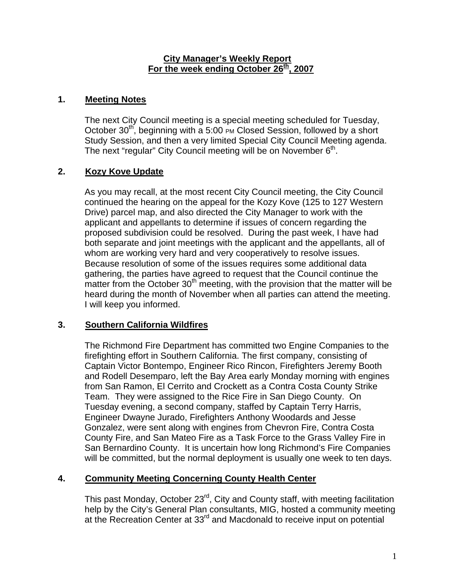#### **City Manager's Weekly Report** For the week ending October 26<sup>th</sup>, 2007

### **1. Meeting Notes**

The next City Council meeting is a special meeting scheduled for Tuesday, October  $30<sup>th</sup>$ , beginning with a 5:00 PM Closed Session, followed by a short Study Session, and then a very limited Special City Council Meeting agenda. The next "regular" City Council meeting will be on November  $6<sup>th</sup>$ .

## **2. Kozy Kove Update**

As you may recall, at the most recent City Council meeting, the City Council continued the hearing on the appeal for the Kozy Kove (125 to 127 Western Drive) parcel map, and also directed the City Manager to work with the applicant and appellants to determine if issues of concern regarding the proposed subdivision could be resolved. During the past week, I have had both separate and joint meetings with the applicant and the appellants, all of whom are working very hard and very cooperatively to resolve issues. Because resolution of some of the issues requires some additional data gathering, the parties have agreed to request that the Council continue the matter from the October  $30<sup>th</sup>$  meeting, with the provision that the matter will be heard during the month of November when all parties can attend the meeting. I will keep you informed.

#### **3. Southern California Wildfires**

The Richmond Fire Department has committed two Engine Companies to the firefighting effort in Southern California. The first company, consisting of Captain Victor Bontempo, Engineer Rico Rincon, Firefighters Jeremy Booth and Rodell Desemparo, left the Bay Area early Monday morning with engines from San Ramon, El Cerrito and Crockett as a Contra Costa County Strike Team. They were assigned to the Rice Fire in San Diego County. On Tuesday evening, a second company, staffed by Captain Terry Harris, Engineer Dwayne Jurado, Firefighters Anthony Woodards and Jesse Gonzalez, were sent along with engines from Chevron Fire, Contra Costa County Fire, and San Mateo Fire as a Task Force to the Grass Valley Fire in San Bernardino County. It is uncertain how long Richmond's Fire Companies will be committed, but the normal deployment is usually one week to ten days.

#### **4. Community Meeting Concerning County Health Center**

This past Monday, October 23<sup>rd</sup>, City and County staff, with meeting facilitation help by the City's General Plan consultants, MIG, hosted a community meeting at the Recreation Center at 33<sup>rd</sup> and Macdonald to receive input on potential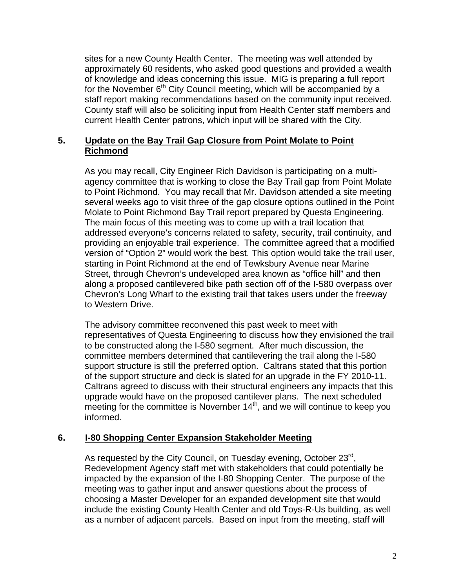sites for a new County Health Center. The meeting was well attended by approximately 60 residents, who asked good questions and provided a wealth of knowledge and ideas concerning this issue. MIG is preparing a full report for the November  $6<sup>th</sup>$  City Council meeting, which will be accompanied by a staff report making recommendations based on the community input received. County staff will also be soliciting input from Health Center staff members and current Health Center patrons, which input will be shared with the City.

### **5. Update on the Bay Trail Gap Closure from Point Molate to Point Richmond**

As you may recall, City Engineer Rich Davidson is participating on a multiagency committee that is working to close the Bay Trail gap from Point Molate to Point Richmond. You may recall that Mr. Davidson attended a site meeting several weeks ago to visit three of the gap closure options outlined in the Point Molate to Point Richmond Bay Trail report prepared by Questa Engineering. The main focus of this meeting was to come up with a trail location that addressed everyone's concerns related to safety, security, trail continuity, and providing an enjoyable trail experience. The committee agreed that a modified version of "Option 2" would work the best. This option would take the trail user, starting in Point Richmond at the end of Tewksbury Avenue near Marine Street, through Chevron's undeveloped area known as "office hill" and then along a proposed cantilevered bike path section off of the I-580 overpass over Chevron's Long Wharf to the existing trail that takes users under the freeway to Western Drive.

The advisory committee reconvened this past week to meet with representatives of Questa Engineering to discuss how they envisioned the trail to be constructed along the I-580 segment. After much discussion, the committee members determined that cantilevering the trail along the I-580 support structure is still the preferred option. Caltrans stated that this portion of the support structure and deck is slated for an upgrade in the FY 2010-11. Caltrans agreed to discuss with their structural engineers any impacts that this upgrade would have on the proposed cantilever plans. The next scheduled meeting for the committee is November  $14<sup>th</sup>$ , and we will continue to keep you informed.

## **6. I-80 Shopping Center Expansion Stakeholder Meeting**

As requested by the City Council, on Tuesday evening, October 23<sup>rd</sup>, Redevelopment Agency staff met with stakeholders that could potentially be impacted by the expansion of the I-80 Shopping Center. The purpose of the meeting was to gather input and answer questions about the process of choosing a Master Developer for an expanded development site that would include the existing County Health Center and old Toys-R-Us building, as well as a number of adjacent parcels. Based on input from the meeting, staff will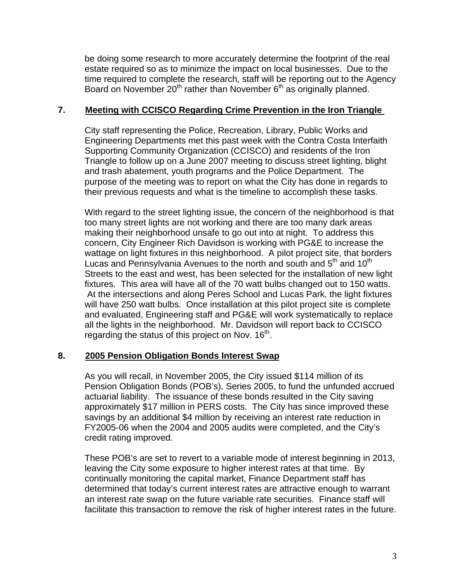be doing some research to more accurately determine the footprint of the real estate required so as to minimize the impact on local businesses. Due to the time required to complete the research, staff will be reporting out to the Agency Board on November 20<sup>th</sup> rather than November 6<sup>th</sup> as originally planned.

#### **7. Meeting with CCISCO Regarding Crime Prevention in the Iron Triangle**

City staff representing the Police, Recreation, Library, Public Works and Engineering Departments met this past week with the Contra Costa Interfaith Supporting Community Organization (CCISCO) and residents of the Iron Triangle to follow up on a June 2007 meeting to discuss street lighting, blight and trash abatement, youth programs and the Police Department. The purpose of the meeting was to report on what the City has done in regards to their previous requests and what is the timeline to accomplish these tasks.

With regard to the street lighting issue, the concern of the neighborhood is that too many street lights are not working and there are too many dark areas making their neighborhood unsafe to go out into at night. To address this concern, City Engineer Rich Davidson is working with PG&E to increase the wattage on light fixtures in this neighborhood. A pilot project site, that borders Lucas and Pennsylvania Avenues to the north and south and 5<sup>th</sup> and 10<sup>th</sup> Streets to the east and west, has been selected for the installation of new light fixtures. This area will have all of the 70 watt bulbs changed out to 150 watts. At the intersections and along Peres School and Lucas Park, the light fixtures will have 250 watt bulbs. Once installation at this pilot project site is complete and evaluated, Engineering staff and PG&E will work systematically to replace all the lights in the neighborhood. Mr. Davidson will report back to CCISCO regarding the status of this project on Nov.  $16<sup>th</sup>$ .

## **8. 2005 Pension Obligation Bonds Interest Swap**

As you will recall, in November 2005, the City issued \$114 million of its Pension Obligation Bonds (POB's), Series 2005, to fund the unfunded accrued actuarial liability. The issuance of these bonds resulted in the City saving approximately \$17 million in PERS costs. The City has since improved these savings by an additional \$4 million by receiving an interest rate reduction in FY2005-06 when the 2004 and 2005 audits were completed, and the City's credit rating improved.

These POB's are set to revert to a variable mode of interest beginning in 2013, leaving the City some exposure to higher interest rates at that time. By continually monitoring the capital market, Finance Department staff has determined that today's current interest rates are attractive enough to warrant an interest rate swap on the future variable rate securities. Finance staff will facilitate this transaction to remove the risk of higher interest rates in the future.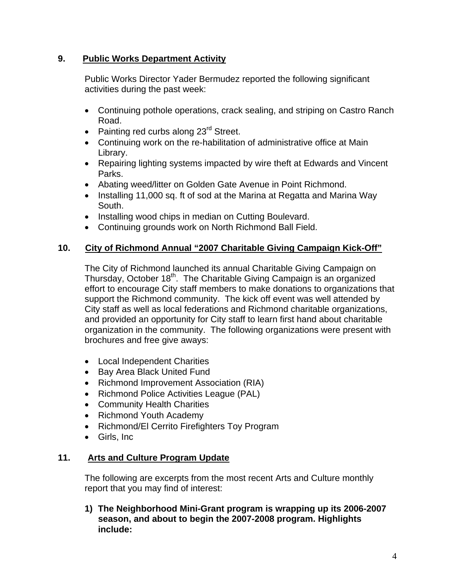## **9. Public Works Department Activity**

Public Works Director Yader Bermudez reported the following significant activities during the past week:

- Continuing pothole operations, crack sealing, and striping on Castro Ranch Road.
- Painting red curbs along 23<sup>rd</sup> Street.
- Continuing work on the re-habilitation of administrative office at Main Library.
- Repairing lighting systems impacted by wire theft at Edwards and Vincent Parks.
- Abating weed/litter on Golden Gate Avenue in Point Richmond.
- Installing 11,000 sq. ft of sod at the Marina at Regatta and Marina Way South.
- Installing wood chips in median on Cutting Boulevard.
- Continuing grounds work on North Richmond Ball Field.

## **10. City of Richmond Annual "2007 Charitable Giving Campaign Kick-Off"**

The City of Richmond launched its annual Charitable Giving Campaign on Thursday, October 18<sup>th</sup>. The Charitable Giving Campaign is an organized effort to encourage City staff members to make donations to organizations that support the Richmond community. The kick off event was well attended by City staff as well as local federations and Richmond charitable organizations, and provided an opportunity for City staff to learn first hand about charitable organization in the community. The following organizations were present with brochures and free give aways:

- Local Independent Charities
- Bay Area Black United Fund
- Richmond Improvement Association (RIA)
- Richmond Police Activities League (PAL)
- Community Health Charities
- Richmond Youth Academy
- Richmond/El Cerrito Firefighters Toy Program
- Girls, Inc

# **11. Arts and Culture Program Update**

The following are excerpts from the most recent Arts and Culture monthly report that you may find of interest:

**1) The Neighborhood Mini-Grant program is wrapping up its 2006-2007 season, and about to begin the 2007-2008 program. Highlights include:**